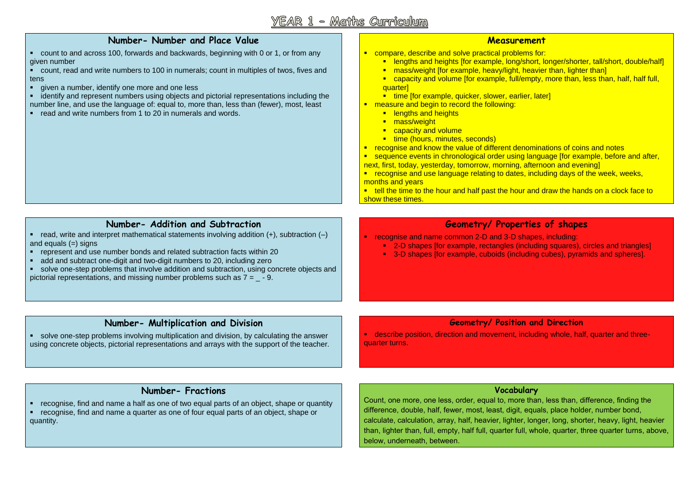# $\mathbb{Y}$ EAR  $1$  - Matths Curriculum

#### **Number- Number and Place Value**

- count to and across 100, forwards and backwards, beginning with 0 or 1, or from any given number
- count, read and write numbers to 100 in numerals; count in multiples of twos, fives and tens
- qiven a number, identify one more and one less
- identify and represent numbers using objects and pictorial representations including the number line, and use the language of: equal to, more than, less than (fewer), most, least
- read and write numbers from 1 to 20 in numerals and words.

#### **Measurement**

- **EXECOMPARE, describe and solve practical problems for:** 
	- **E** lengths and heights [for example, long/short, longer/shorter, tall/short, double/half]
	- **nass/weight [for example, heavy/light, heavier than, lighter than]**
	- capacity and volume [for example, full/empty, more than, less than, half, half full, quarterl
	- **time for example, quicker, slower, earlier, laterly**
- **EXECTE 2018 THE 2018 THE STANDER IN A 2019 THE EXAMPLE 2019 THE EXAMPLE 2019 THE EXAMPLE 2019 THE EXAMPLE 2019** 
	- **E** lengths and heights
	- **mass/weight**
	- **E** capacity and volume
	- **time (hours, minutes, seconds)**
- **F** recognise and know the value of different denominations of coins and notes
- **sequence events in chronological order using language [for example, before and after,** next, first, today, yesterday, tomorrow, morning, afternoon and evening]
- recognise and use language relating to dates, including days of the week, weeks, months and years
- $\bullet$  tell the time to the hour and half past the hour and draw the hands on a clock face to show these times.

## **Number- Addition and Subtraction**

- read, write and interpret mathematical statements involving addition  $(+)$ , subtraction  $(-)$ and equals  $(=)$  signs
- represent and use number bonds and related subtraction facts within 20
- add and subtract one-digit and two-digit numbers to 20, including zero
- solve one-step problems that involve addition and subtraction, using concrete objects and pictorial representations, and missing number problems such as  $7 = -9$ .

## **Geometry/ Properties of shapes**

- recognise and name common 2-D and 3-D shapes, including:
	- 2-D shapes [for example, rectangles (including squares), circles and triangles]
	- 3-D shapes [for example, cuboids (including cubes), pyramids and spheres].

## **Number- Multiplication and Division**

 solve one-step problems involving multiplication and division, by calculating the answer using concrete objects, pictorial representations and arrays with the support of the teacher.

## **Geometry/ Position and Direction**

 describe position, direction and movement, including whole, half, quarter and threequarter turns.

## **Number- Fractions**

 recognise, find and name a half as one of two equal parts of an object, shape or quantity recognise, find and name a quarter as one of four equal parts of an object, shape or quantity.

## **Vocabulary**

Count, one more, one less, order, equal to, more than, less than, difference, finding the difference, double, half, fewer, most, least, digit, equals, place holder, number bond, calculate, calculation, array, half, heavier, lighter, longer, long, shorter, heavy, light, heavier than, lighter than, full, empty, half full, quarter full, whole, quarter, three quarter turns, above, below, underneath, between.